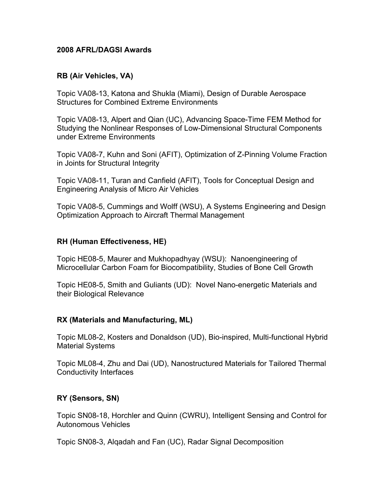### **2008 AFRL/DAGSI Awards**

### **RB (Air Vehicles, VA)**

Topic VA08-13, Katona and Shukla (Miami), Design of Durable Aerospace Structures for Combined Extreme Environments

Topic VA08-13, Alpert and Qian (UC), Advancing Space-Time FEM Method for Studying the Nonlinear Responses of Low-Dimensional Structural Components under Extreme Environments

Topic VA08-7, Kuhn and Soni (AFIT), Optimization of Z-Pinning Volume Fraction in Joints for Structural Integrity

Topic VA08-11, Turan and Canfield (AFIT), Tools for Conceptual Design and Engineering Analysis of Micro Air Vehicles

Topic VA08-5, Cummings and Wolff (WSU), A Systems Engineering and Design Optimization Approach to Aircraft Thermal Management

# **RH (Human Effectiveness, HE)**

Topic HE08-5, Maurer and Mukhopadhyay (WSU): Nanoengineering of Microcellular Carbon Foam for Biocompatibility, Studies of Bone Cell Growth

Topic HE08-5, Smith and Guliants (UD): Novel Nano-energetic Materials and their Biological Relevance

# **RX (Materials and Manufacturing, ML)**

Topic ML08-2, Kosters and Donaldson (UD), Bio-inspired, Multi-functional Hybrid Material Systems

Topic ML08-4, Zhu and Dai (UD), Nanostructured Materials for Tailored Thermal Conductivity Interfaces

# **RY (Sensors, SN)**

Topic SN08-18, Horchler and Quinn (CWRU), Intelligent Sensing and Control for Autonomous Vehicles

Topic SN08-3, Alqadah and Fan (UC), Radar Signal Decomposition